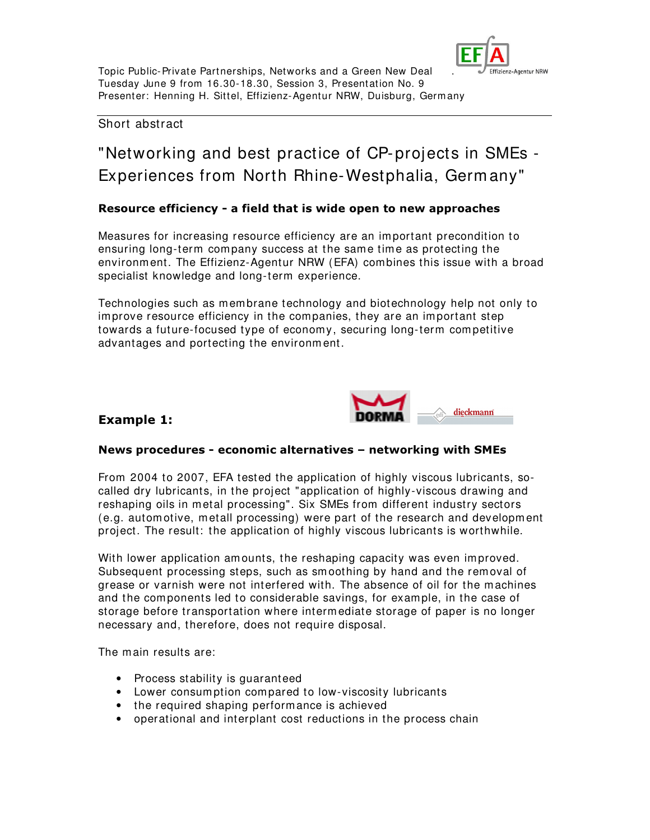

# Short abstract

# "Networking and best practice of CP-projects in SMEs - Experiences from North Rhine-Westphalia, Germ any"

## Resource efficiency - a field that is wide open to new approaches

Measures for increasing resource efficiency are an im portant precondition to ensuring long-term com pany success at the sam e time as protecting the environm ent. The Effizienz-Agentur NRW (EFA) combines this issue with a broad specialist knowledge and long-term experience.

Technologies such as membrane technology and biotechnology help not only to im prove resource efficiency in the companies, they are an im portant step towards a future-focused type of economy, securing long-term com petitive advantages and portecting the environm ent.



# Example 1:

#### News procedures - economic alternatives - networking with SMEs

From 2004 to 2007, EFA tested the application of highly viscous lubricants, socalled dry lubricants, in the project "application of highly-viscous drawing and reshaping oils in m etal processing". Six SMEs from different industry sectors (e.g. autom otive, m etall processing) were part of the research and developm ent project. The result: the application of highly viscous lubricants is worthwhile.

With lower application amounts, the reshaping capacity was even improved. Subsequent processing steps, such as sm oothing by hand and the removal of grease or varnish were not interfered with. The absence of oil for the m achines and the com ponents led to considerable savings, for exam ple, in the case of storage before transportation where interm ediate storage of paper is no longer necessary and, therefore, does not require disposal.

The main results are:

- Process stability is guaranteed
- Lower consum ption compared to low-viscosity lubricants
- the required shaping performance is achieved
- operational and interplant cost reductions in the process chain